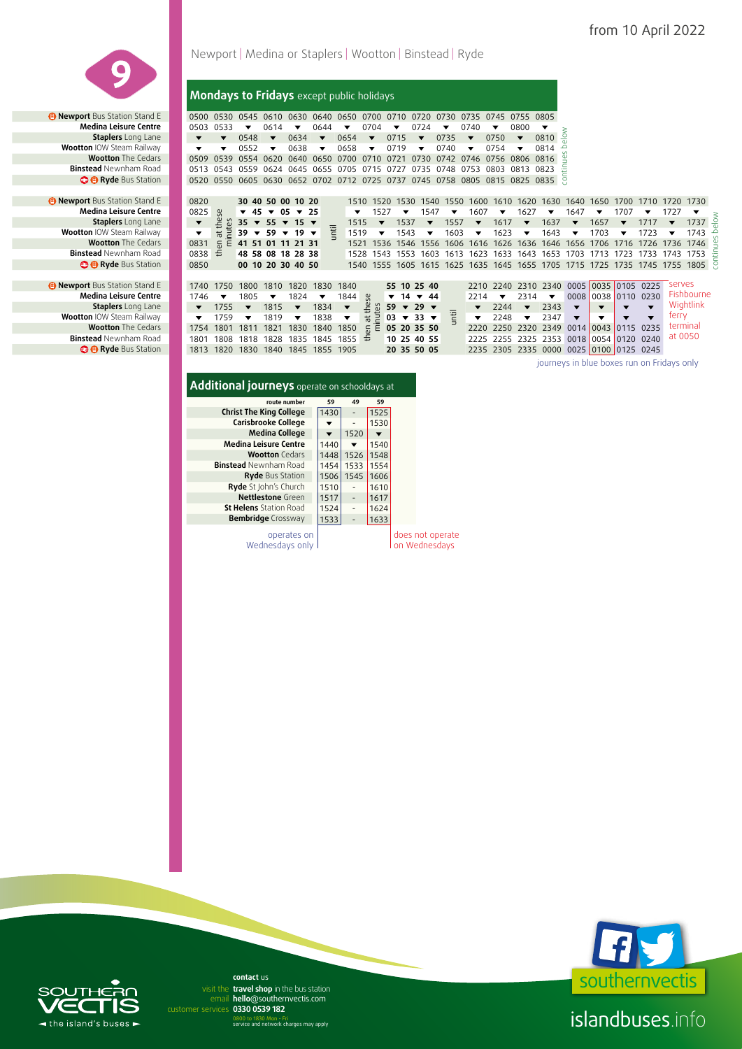

*<b>B* Newport Bus Station Stand E **Medina Leisure Centre Staplers** Long Lane **Wootton IOW Steam Railway<br><b>39 Wootton** The Cedars **Binstead** Newnham Road **@ @** Ryde Bus Station

*B* Newport Bus Station Stand E **Medina Leisure Centre Staplers** Long Lane **Wootton IOW Steam Railway Wootton The Cedars Binstead Newnham Road <sup>8</sup> B** Ryde Bus Station

# Newport | Medina or Staplers | Wootton | Binstead | Ryde

**Mondays to Fridays** except public holidays

**a** Newport Bus Station Stand E **0500 0530 0545 0610 0630 0640 0650 0700 0710 0720 0730 0735 0745 0755 0805 v 06dina Leisure Centre <b>10503 0533** v 0614 v 0644 v 0704 v 0724 v 0740 v 0800 v **Medina Leisure Centre | 0503 0533**  $\bullet$  **0614**  $\bullet$  **0644**  $\bullet$  **0704**  $\bullet$  **0724**  $\bullet$  **0740**  $\bullet$  **0800 Staplers** Long Lane **v v v** 0548 **v** 0634 **v** 0654 **v** 0715 **v** 0735 **v** 0750 **v** 0810 **Wootton** IOW Steam Railway **1**  $\bullet$   $\bullet$  0552  $\bullet$  0638  $\bullet$  0658  $\bullet$  0719  $\bullet$  0740  $\bullet$  0754  $\bullet$  0814 **Wootton** The Cedars 0509 0539 0554 0620 0640 0650 0700 0710 0721 0730 0742 0746 0756 0806 0816 **Binstead** Newnham Road 0513 0543 0559 0624 0645 0655 0705 0715 0727 0735 0748 0753 0803 0813 0823 **3 @ Ryde** Bus Station **0520 0550 0605 0630 0652 0702 0712 0725 0737 0745 0758 0805 0815 0825 0835 0835** 

| בטווט בכואטוכ ככוונוכ        | ບບບບ                 | ບບວ    |                         | VV 14     |                                         | <b>VV44</b>                        |           | V/V4           |      |                         | V/I                     |           | V/40                 |                         | vovv                     |                                                                              |                                            |       |      |                |           |                         |  |
|------------------------------|----------------------|--------|-------------------------|-----------|-----------------------------------------|------------------------------------|-----------|----------------|------|-------------------------|-------------------------|-----------|----------------------|-------------------------|--------------------------|------------------------------------------------------------------------------|--------------------------------------------|-------|------|----------------|-----------|-------------------------|--|
| <b>Staplers</b> Long Lane    |                      |        | 0548                    |           | 0634                                    |                                    | 0654      |                | 0715 |                         |                         | 0735      |                      | 0750                    |                          | 0810                                                                         |                                            |       |      |                |           |                         |  |
| <b>n</b> IOW Steam Railway   |                      |        | 0552                    |           | 0638                                    |                                    | 0658      | ▼              | 0719 |                         | ▼                       | 0740      |                      | 0754                    |                          | 0814                                                                         |                                            |       |      |                |           |                         |  |
| <b>Wootton</b> The Cedars    | 0509                 | 0539   |                         | 0554 0620 |                                         | 0640 0650                          | 0700 0710 |                | 0721 |                         | 0730                    | 0742 0746 |                      | 0756 0806 0816          |                          |                                                                              |                                            |       |      |                |           |                         |  |
| <b>ead</b> Newnham Road      | 0513                 | 0543   | 0559                    | 0624      |                                         | 0645 0655 0705                     |           | 0715           | 0727 |                         | 0735                    | 0748 0753 |                      | 0803                    | 0813 0823                |                                                                              |                                            |       |      |                |           |                         |  |
| <b>B</b> Ryde Bus Station    | 0520                 | 0550   |                         |           |                                         | 0605 0630 0652 0702 0712 0725 0737 |           |                |      |                         |                         |           |                      |                         |                          | 0745 0758 0805 0815 0825 0835 8                                              |                                            |       |      |                |           |                         |  |
|                              |                      |        |                         |           |                                         |                                    |           |                |      |                         |                         |           |                      |                         |                          |                                                                              |                                            |       |      |                |           |                         |  |
| <b>t</b> Bus Station Stand E | 0820                 |        |                         |           | 30 40 50 00 10 20                       |                                    | 1510      |                | 1520 | 1530                    | 1540                    | 1550      | 1600                 | 1610                    | 1620                     | 1630                                                                         | 1640                                       | 1650  | 1700 | 1710           | 1720      | 1730                    |  |
| edina Leisure Centre         | 0825                 | ပ္က    | 45<br>▼                 |           | $\sqrt{05}$ $\sqrt{25}$                 |                                    |           |                | 1527 | ▼                       | 1547                    |           | 1607                 |                         | 1627                     |                                                                              | 1647                                       |       | 1707 |                | 1727      | $\overline{\mathbf{v}}$ |  |
| <b>Staplers</b> Long Lane    | $\blacktriangledown$ | _ ಜ    |                         |           | 35 $\times$ 55 $\times$ 15 $\times$     |                                    | 1515      |                |      | 1537                    | $\overline{\mathbf{v}}$ | 1557      | $\blacktriangledown$ | 1617                    |                          | 1637                                                                         |                                            | 1657  |      | 1717           |           | $\frac{1}{2}$ 1737      |  |
| <b>n</b> IOW Steam Railway   |                      |        | $39 \times$             | 59        | $19 \times$<br>$\overline{\phantom{a}}$ | 宅                                  | 1519      |                |      | 1543                    | ▼                       | 1603      | ▼                    | 1623                    | $\overline{\phantom{a}}$ | 1643                                                                         |                                            | 1703  | ▼    | 1723           |           | 1743                    |  |
| <b>Wootton</b> The Cedars    | 0831                 | Έ<br>듰 |                         |           | 41 51 01 11 21 31                       |                                    | 1521      |                | 1536 |                         | 1546 1556               | 1606      |                      |                         |                          | 1616 1626 1636 1646 1656                                                     |                                            | 1706  | 1716 | 1726 1736 1746 |           |                         |  |
| ead Newnham Road             | 0838                 | £      |                         |           | 48 58 08 18 28 38                       |                                    |           |                |      |                         |                         |           |                      |                         |                          | 1528 1543 1553 1603 1613 1623 1633 1643 1653 1703 1713                       |                                            |       |      | 1723 1733      | 1743 1753 |                         |  |
| <b>B</b> Ryde Bus Station    | 0850                 |        |                         |           | 00 10 20 30 40 50                       |                                    |           |                |      |                         |                         |           |                      |                         |                          | 1540 1555 1605 1615 1625 1635 1645 1655 1705 1715 1725 1735 1745 1755 1805 S |                                            |       |      |                |           |                         |  |
|                              |                      |        |                         |           |                                         |                                    |           |                |      |                         |                         |           |                      |                         |                          |                                                                              |                                            |       |      |                |           |                         |  |
| <b>t</b> Bus Station Stand E | 1740                 | 1750   | 1800                    | 1810      | 1820                                    | 1830                               | 1840      |                |      |                         | 55 10 25 40             |           |                      |                         |                          | 2210 2240 2310 2340                                                          | 0005                                       | 10035 |      | $0105$ 0225    | serves    |                         |  |
| edina Leisure Centre         | 1746                 | ▼      | 1805                    | ▼         | 1824                                    |                                    | 1844      | őδ             | ▼    | 14                      | $\sqrt{44}$             |           | 2214                 | $\overline{\mathbf{v}}$ | 2314                     | $\overline{\phantom{a}}$                                                     | 0008                                       |       |      | 0038 0110 0230 |           | Fishbourne              |  |
| <b>Staplers</b> Long Lane    |                      | 1755   | $\overline{\mathbf{v}}$ | 1815      |                                         | 1834                               |           | ۴È             | 59   | $\overline{\mathbf{v}}$ | $29 \times$             |           |                      | 2244                    | $\overline{\phantom{a}}$ | 2343                                                                         | $\overline{\mathbf{v}}$                    |       |      |                |           | Wightlink               |  |
| <b>n</b> IOW Steam Railway   |                      | 1759   |                         | 1819      |                                         | 1838                               | ▼         | $\overline{5}$ |      |                         | $03 \times 33 \times$   | 둳         | ▼                    | 2248                    | $\overline{\phantom{a}}$ | 2347                                                                         | $\overline{\mathbf{v}}$                    |       |      |                | ferry     |                         |  |
| <b>Wootton</b> The Cedars    | 1754                 | 1801   | 1811                    | 1821      | 1830                                    | 1840                               | 1850      | 듰<br>Ε         |      |                         | 05 20 35 50             |           | 2220                 | 2250                    | 2320                     | 2349                                                                         | 0014                                       | 0043  |      | 0115 0235      |           | terminal                |  |
| <b>ead</b> Newnham Road      | 1801                 | 1808   | 1818                    | 1828      | 1835                                    |                                    | 1845 1855 | £              |      |                         | 10 25 40 55             |           | 2225                 |                         |                          | 2255 2325 2353 0018 0054 0120 0240                                           |                                            |       |      |                | at 0050   |                         |  |
| <b>B</b> Ryde Bus Station    | 1813                 |        |                         |           |                                         | 1820 1830 1840 1845 1855 1905      |           |                |      |                         | 20 35 50 05             |           |                      |                         |                          | 2235 2305 2335 0000 0025 0100 0125 0245                                      |                                            |       |      |                |           |                         |  |
|                              |                      |        |                         |           |                                         |                                    |           |                |      |                         |                         |           |                      |                         |                          |                                                                              | iournevs in blue boxes run on Fridavs only |       |      |                |           |                         |  |
|                              |                      |        |                         |           |                                         |                                    |           |                |      |                         |                         |           |                      |                         |                          |                                                                              |                                            |       |      |                |           |                         |  |

# **Additional journeys** operate on schooldays at

| route number                   | 59   | 49                       | 59   |                                   |
|--------------------------------|------|--------------------------|------|-----------------------------------|
| <b>Christ The King College</b> | 1430 |                          | 1525 |                                   |
| Carisbrooke College            |      | $\overline{\phantom{0}}$ | 1530 |                                   |
| <b>Medina College</b>          | ▼    | 1520                     |      |                                   |
| <b>Medina Leisure Centre</b>   | 1440 |                          | 1540 |                                   |
| <b>Wootton</b> Cedars          | 1448 | 1526                     | 1548 |                                   |
| <b>Binstead</b> Newnham Road   | 1454 | 1533                     | 1554 |                                   |
| <b>Ryde Bus Station</b>        | 1506 | 1545                     | 1606 |                                   |
| Ryde St John's Church          | 1510 |                          | 1610 |                                   |
| Nettlestone Green              | 1517 | $\overline{\phantom{0}}$ | 1617 |                                   |
| <b>St Helens</b> Station Road  | 1524 | $\qquad \qquad -$        | 1624 |                                   |
| <b>Bembridge</b> Crossway      | 1533 | -                        | 1633 |                                   |
| operates on<br>Wednesdays only |      |                          |      | does not operate<br>on Wednesdays |

southernvectis<sup>'</sup>

islandbuses.info

# $\blacktriangleleft$  the island's buses  $\blacktriangleright$

email hello@southernvectis.com **0330 0539 182** customer services **contact** us visit the travel shop in the bus station

0800 to 1830 Mon - Fri service and network charges may apply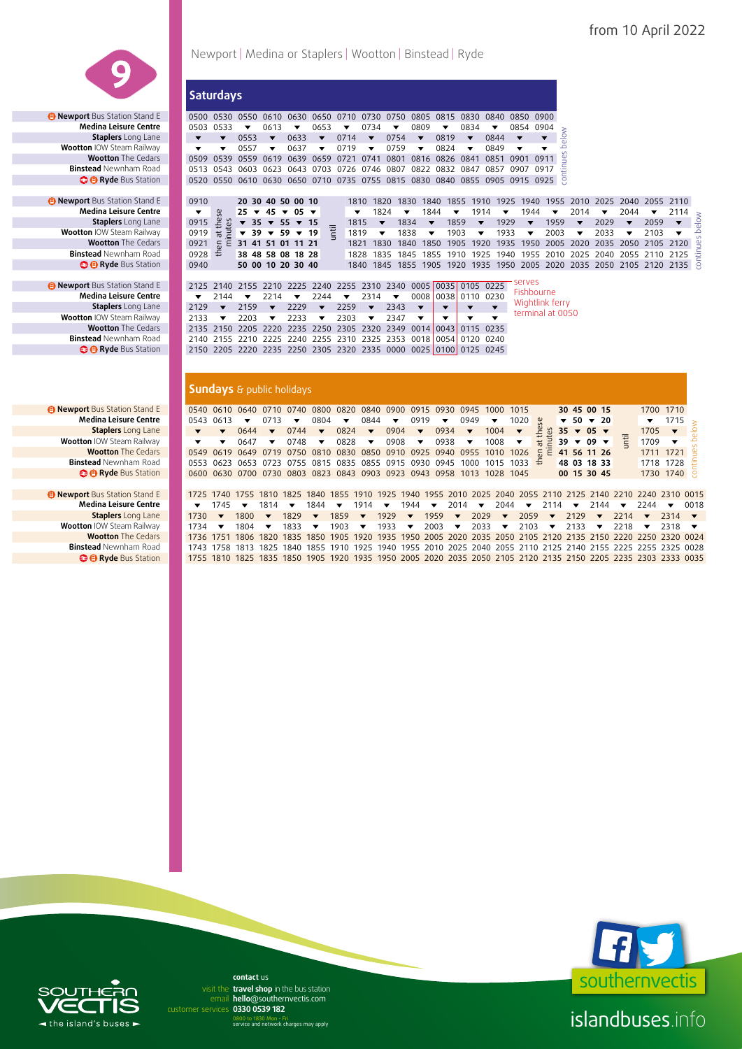

**19 Newport** Bus Station Stand E 0910<br>**Medina Leisure Centre Centre** 1<br>**Staplers** Long Lane 0915

**Wootton IOW Steam Railway<br><b>Wootton** The Cedars

**B Newport Bus Station Stand E Medina Leisure Centre Staplers** Long Lane **Wootton IOW Steam Railway Binstead Newnham Road e Bus** Station

Newport | Medina or Staplers | Wootton | Binstead | Ryde

**Saturdays Newport** Bus Station Stand E 0500 0530 0550 0610 0630 0650 0710 0730 0750 0805 0815 0830 0840 0850 0900 **Medina Leisure Centre 0503 0533 v** 0613 **v** 0653 **v** 0734 **v** 0809 **v** 0834 **v** 0854 0904<br> **Staplers** Long Lane **v v** 0553 **v** 0633 **v** 0714 **v** 0754 **v** 0819 **v** 0844 **v v**  $\bullet$   $\bullet$  0553  $\bullet$  0633  $\bullet$  0714  $\bullet$  0754  $\bullet$  0819  $\bullet$  0844  $\bullet$ **Wootton IOW Steam Railway**  $\bullet$  $\bullet$  **0557**  $\bullet$  0637  $\bullet$  0719  $\bullet$  0759  $\bullet$  0824  $\bullet$  0849<br>**Wootton** The Cedars 0509 0539 0559 0619 0639 0659 0721 0741 0801 0816 0826 0841 0851 **Wootton** The Cedars 0509 0539 0559 0619 0639 0659 0721 0741 0801 0816 0826 0841 0851 0901 0911 0513 0543 0603 0623 0643 0703 0726 0746 0807 0822 0832 0847 0857 0907 0917 **Binstead** Newnham Road 0513 0543 0603 0623 0643 0703 0726 0746 0807 0822 0832 0847 0857 0907 0917 **C B Ryde** Bus Station **0520 0550 0610 0630 0650 0710 0735 0755 0815 0830 0840 0855 0905 0915 0925** 

**a** Newport Bus Station Stand E 2125 2140 2155 2210 2225 2240 2255 2310 2340 0005 0035 0105 0225 2240 **Medina Leisure Centre v** 2144 **v** 2214 **v** 2244 **v** 2314 **v** 0008 0038 0110 0230 **Medina Leisure Centre** 2144 2214 2244 2314 0008 0038 0110 0230  $2129$  **v** 2159 **v** 2229 **v** 2259 **v** 2343 **v** 2133 **v** 2203 **v** 2233 **v** 2303 **v** 2347 **v Wootton** The Cedars 2135 2150 2205 2220 2235 2250 2305 2320 2349 0014 0043 0115 0235 **Binstead** Newnham Road 2140 2155 2210 2225 2240 2255 2310 2325 2353 0018 0054 0120 0240 **Binstead** Newnham Road 2140 2155 2210 2225 2240 2255 2310 2325 2353 0018 0054 0120 0240  **Ryde** Bus Station 2150 2205 2220 2235 2250 2305 2320 2335 0000 0025 0100 0125 0245 serves **Fishbourne** Wightlink ferry terminal at 0050

#### **Sundays** & public holidays

| счина ссізате сеник          |                         |                         |      |                          |                                     |                          |                                                   |                          |                         |                          |                                                        |                          |                                                                                                               |                         |                         |                                           |                          |                         |                          |                         |                          |                                                      |
|------------------------------|-------------------------|-------------------------|------|--------------------------|-------------------------------------|--------------------------|---------------------------------------------------|--------------------------|-------------------------|--------------------------|--------------------------------------------------------|--------------------------|---------------------------------------------------------------------------------------------------------------|-------------------------|-------------------------|-------------------------------------------|--------------------------|-------------------------|--------------------------|-------------------------|--------------------------|------------------------------------------------------|
| Staplers Long Lane           | ▼                       | ▼                       | 0553 | $\overline{\phantom{a}}$ | 0633                                | $\overline{\phantom{a}}$ | 0714                                              | $\blacktriangledown$     | 0754                    | $\overline{\mathbf{v}}$  | 0819                                                   | $\overline{\phantom{a}}$ | 0844                                                                                                          | $\overline{\mathbf{v}}$ | ▼                       | $\frac{8}{10}$<br>$\overline{\mathbb{Q}}$ |                          |                         |                          |                         |                          |                                                      |
| n IOW Steam Railway          | $\overline{\mathbf{v}}$ | ▼                       | 0557 | $\overline{\phantom{a}}$ | 0637                                | ▼                        | 0719                                              | $\overline{\phantom{a}}$ | 0759                    | $\overline{\mathbf{v}}$  | 0824                                                   | $\overline{\mathbf{v}}$  | 0849                                                                                                          | $\overline{\mathbf{v}}$ | $\overline{\mathbf{v}}$ | م                                         |                          |                         |                          |                         |                          |                                                      |
| <b>Wootton</b> The Cedars    | 0509                    | 0539                    |      | 0559 0619                |                                     | 0639 0659                |                                                   | 0721 0741                | 0801                    | 0816                     |                                                        | 0826 0841                | 0851 0901                                                                                                     |                         | 0911                    | continues                                 |                          |                         |                          |                         |                          |                                                      |
| ead Newnham Road             | 0513                    | 0543                    |      |                          |                                     |                          |                                                   |                          |                         |                          |                                                        |                          | 0603 0623 0643 0703 0726 0746 0807 0822 0832 0847 0857 0907                                                   |                         | 0917                    |                                           |                          |                         |                          |                         |                          |                                                      |
| <b>B</b> Ryde Bus Station    |                         |                         |      |                          |                                     |                          |                                                   |                          |                         |                          |                                                        |                          | 0520 0550 0610 0630 0650 0710 0735 0755 0815 0830 0840 0855 0905 0915 0925                                    |                         |                         |                                           |                          |                         |                          |                         |                          |                                                      |
|                              |                         |                         |      |                          |                                     |                          |                                                   |                          |                         |                          |                                                        |                          |                                                                                                               |                         |                         |                                           |                          |                         |                          |                         |                          |                                                      |
| <b>t</b> Bus Station Stand E | 0910                    |                         |      |                          | 20 30 40 50 00 10                   |                          |                                                   | 1810 1820                |                         | 1830 1840                |                                                        |                          | 1855 1910 1925 1940 1955 2010 2025 2040 2055 2110                                                             |                         |                         |                                           |                          |                         |                          |                         |                          |                                                      |
| edina Leisure Centre         | ▼                       | æ                       |      |                          | $25 \times 45 \times 05 \times$     |                          |                                                   | ▼                        | 1824                    | $\overline{\phantom{a}}$ | 1844                                                   | $\overline{\phantom{a}}$ | 1914<br>▼                                                                                                     | 1944                    |                         | $\overline{\mathbf{v}}$                   | 2014                     | $\overline{\mathbf{v}}$ | 2044                     | $\blacktriangledown$    | 2114                     |                                                      |
| Staplers Long Lane           | 0915                    | thei<br>tes             |      |                          | $\sqrt{35}$ $\sqrt{55}$ $\sqrt{15}$ |                          |                                                   | 1815                     | $\overline{\mathbf{v}}$ | 1834                     | $\overline{\mathbf{v}}$                                | 1859                     | 1929<br>$\overline{\mathbf{v}}$                                                                               | $\overline{\textbf{v}}$ |                         | 1959                                      | $\overline{\mathbf{v}}$  | 2029                    | $\overline{\mathbf{v}}$  | 2059                    | $\blacktriangledown$     | volee                                                |
| n IOW Steam Railway          | 0919                    | $\overline{a}$          |      |                          | $\sqrt{39}$ $\sqrt{59}$ $\sqrt{19}$ |                          | Ē                                                 | 1819                     | ▼                       | 1838                     | ▼                                                      | 1903                     | 1933<br>▼                                                                                                     | $\overline{\mathbf{v}}$ |                         | 2003                                      | $\overline{\phantom{a}}$ | 2033                    | $\overline{\phantom{a}}$ | 2103                    | $\overline{\phantom{a}}$ |                                                      |
| <b>Wootton</b> The Cedars    | 0921                    | Ē<br>$\overline{6}$     |      |                          | 31 41 51 01 11 21                   |                          |                                                   | 1821                     | 1830                    | 1840                     | 1850                                                   | 1905                     | 1920<br>1935                                                                                                  |                         |                         |                                           | 1950 2005 2020           |                         |                          | 2035 2050 2105 2120     |                          |                                                      |
| : <b>ead</b> Newnham Road    | 0928                    | €                       |      |                          | 38 48 58 08 18 28                   |                          |                                                   | 1828                     | 1835 1845               |                          |                                                        |                          | 1855 1910 1925 1940 1955 2010 2025 2040 2055 2110 2125                                                        |                         |                         |                                           |                          |                         |                          |                         |                          |                                                      |
| <b>B</b> Ryde Bus Station    | 0940                    |                         |      |                          | 50 00 10 20 30 40                   |                          |                                                   |                          |                         |                          |                                                        |                          | 1840 1845 1855 1905 1920 1935 1950 2005 2020 2035 2050 2105 2120 2135 8                                       |                         |                         |                                           |                          |                         |                          |                         |                          |                                                      |
|                              |                         |                         |      |                          |                                     |                          |                                                   |                          |                         |                          |                                                        |                          |                                                                                                               |                         |                         |                                           |                          |                         |                          |                         |                          |                                                      |
| <b>t</b> Bus Station Stand E |                         |                         |      |                          |                                     |                          |                                                   |                          |                         |                          | 2125 2140 2155 2210 2225 2240 2255 2310 2340 0005 0035 |                          | 0105 0225                                                                                                     | serves                  |                         |                                           |                          |                         |                          |                         |                          |                                                      |
| edina Leisure Centre         | ▼                       | 2144                    |      | 2214                     | ▼                                   | 2244                     | ▼                                                 | 2314                     | ▼                       | 0008                     | 0038                                                   |                          | 0110 0230                                                                                                     | Fishbourne              |                         |                                           |                          |                         |                          |                         |                          |                                                      |
| <b>Staplers</b> Long Lane    | 2129                    | $\overline{\mathbf{v}}$ | 2159 | $\overline{\mathbf{v}}$  | 2229                                | $\overline{\mathbf{v}}$  | 2259                                              | $\overline{\mathbf{v}}$  | 2343                    | $\overline{\phantom{a}}$ | $\overline{\phantom{a}}$                               | $\overline{\phantom{a}}$ | $\overline{\mathbf{v}}$                                                                                       | Wightlink ferry         |                         |                                           |                          |                         |                          |                         |                          |                                                      |
| n IOW Steam Railway          | 2133                    | $\overline{\mathbf{v}}$ | 2203 | $\overline{\mathbf{v}}$  | 2233                                | $\overline{\mathbf{v}}$  | 2303                                              | $\blacktriangledown$     | 2347                    | $\overline{\mathbf{v}}$  | $\overline{\mathbf{v}}$                                | $\overline{\mathbf{v}}$  | $\overline{\mathbf{v}}$                                                                                       | terminal at 0050        |                         |                                           |                          |                         |                          |                         |                          |                                                      |
| <b>Wootton</b> The Cedars    |                         |                         |      |                          |                                     |                          | 2135 2150 2205 2220 2235 2250 2305 2320 2349 0014 |                          |                         |                          | 00431                                                  |                          | 0115 0235                                                                                                     |                         |                         |                                           |                          |                         |                          |                         |                          |                                                      |
| ead Newnham Road             |                         |                         |      |                          |                                     |                          | 2140 2155 2210 2225 2240 2255 2310 2325 2353 0018 |                          |                         |                          | 0054                                                   |                          | 0120 0240                                                                                                     |                         |                         |                                           |                          |                         |                          |                         |                          |                                                      |
| <b>B</b> Ryde Bus Station    |                         |                         |      |                          |                                     |                          |                                                   |                          |                         |                          |                                                        |                          | 2150 2205 2220 2235 2250 2305 2320 2335 0000 0025 0100 0125 0245                                              |                         |                         |                                           |                          |                         |                          |                         |                          |                                                      |
|                              |                         |                         |      |                          |                                     |                          |                                                   |                          |                         |                          |                                                        |                          |                                                                                                               |                         |                         |                                           |                          |                         |                          |                         |                          |                                                      |
|                              |                         |                         |      |                          |                                     |                          |                                                   |                          |                         |                          |                                                        |                          |                                                                                                               |                         |                         |                                           |                          |                         |                          |                         |                          |                                                      |
|                              |                         |                         |      |                          |                                     |                          |                                                   |                          |                         |                          |                                                        |                          |                                                                                                               |                         |                         |                                           |                          |                         |                          |                         |                          |                                                      |
|                              |                         |                         |      |                          | <b>Sundays</b> & public holidays    |                          |                                                   |                          |                         |                          |                                                        |                          |                                                                                                               |                         |                         |                                           |                          |                         |                          |                         |                          |                                                      |
| <b>t</b> Bus Station Stand E |                         |                         |      |                          | 0540 0610 0640 0710 0740 0800       |                          | 0820                                              | 0840                     |                         | 0900 0915                | 0930                                                   | 0945                     | 1000                                                                                                          | 1015                    |                         |                                           | 30 45 00 15              |                         |                          |                         | 1700 1710                |                                                      |
| edina Leisure Centre         | 0543 0613               |                         |      | 0713                     |                                     | 0804                     | ▼                                                 | 0844                     | $\overline{\textbf{v}}$ | 0919                     | ▼                                                      | 0949                     | $\overline{\mathbf{v}}$                                                                                       | 1020                    | <b>Se</b>               | ▼                                         |                          | $50 \times 20$          |                          | ▼                       | 1715                     |                                                      |
| <b>Staplers</b> Long Lane    |                         |                         | 0644 |                          | 0744                                | $\overline{\phantom{a}}$ | 0824                                              | $\blacktriangledown$     | 0904                    | $\blacktriangledown$     | 0934                                                   | $\blacktriangledown$     | 1004                                                                                                          | $\blacktriangledown$    | the:<br>tes             |                                           | 35 $\times$ 05 $\times$  |                         |                          | 1705                    | $\blacktriangledown$     | š                                                    |
| n IOW Steam Railway          | ▼                       | $\overline{\mathbf{v}}$ | 0647 | ▼                        | 0748                                | ▼                        | 0828                                              | $\blacktriangledown$     | 0908                    | $\overline{\mathbf{v}}$  | 0938                                                   | $\overline{\mathbf{v}}$  | 1008                                                                                                          | ▼                       | 节                       |                                           | $39 \times 09 \times$    |                         |                          | 1709                    | $\overline{\mathbf{v}}$  | <u>a</u>                                             |
| <b>Wootton</b> The Cedars    | 0549                    | 0619                    | 0649 | 0719                     | 0750                                | 0810                     | 0830                                              | 0850                     | 0910                    | 0925                     |                                                        | 0940 0955                | 1010                                                                                                          | 1026                    | 듰<br>Έ                  |                                           | 41 56 11 26              |                         |                          | 1711                    | 1721                     |                                                      |
| ead Newnham Road             | 0553                    |                         |      |                          |                                     |                          |                                                   |                          |                         |                          | 0623 0653 0723 0755 0815 0835 0855 0915 0930 0945      | 1000                     | 1015                                                                                                          | 1033                    | $\epsilon$              |                                           | 48 03 18 33              |                         |                          | 1718                    | 1728                     |                                                      |
| <b>B</b> Ryde Bus Station    |                         |                         |      |                          |                                     |                          |                                                   |                          |                         |                          |                                                        |                          | 0600 0630 0700 0730 0803 0823 0843 0903 0923 0943 0958 1013 1028 1045                                         |                         |                         |                                           | 00 15 30 45              |                         |                          |                         | 1730 1740 $\overline{5}$ |                                                      |
|                              |                         |                         |      |                          |                                     |                          |                                                   |                          |                         |                          |                                                        |                          |                                                                                                               |                         |                         |                                           |                          |                         |                          |                         |                          |                                                      |
| <b>t</b> Bus Station Stand E |                         |                         |      |                          |                                     |                          |                                                   |                          |                         |                          |                                                        |                          | 1725 1740 1755 1810 1825 1840 1855 1910 1925 1940 1955 2010 2025 2040 2055 2110 2125 2140 2210 2240 2310 0015 |                         |                         |                                           |                          |                         |                          |                         |                          |                                                      |
| edina Leisure Centre         | ▼                       | 1745                    | ▼    | 1814                     | ▼                                   | 1844                     | ▼                                                 | 1914                     |                         | 1944                     | $\overline{\phantom{a}}$                               | 2014                     | 2044<br>$\blacktriangledown$                                                                                  | $\blacktriangledown$    | 2114                    |                                           |                          | 2144                    |                          | 2244                    |                          | 0018                                                 |
| <b>Staplers</b> Long Lane    | 1730                    | $\overline{\mathbf{v}}$ | 1800 | $\blacktriangledown$     | 1829                                | $\overline{\mathbf{v}}$  | 1859                                              | $\overline{\mathbf{v}}$  | 1929                    | $\overline{\phantom{a}}$ | 1959                                                   | $\blacktriangledown$     | 2029<br>$\blacktriangledown$                                                                                  | 2059                    | $\overline{\mathbf{v}}$ |                                           | 2129                     | $\overline{\mathbf{v}}$ | 2214                     | $\overline{\textbf{v}}$ | 2314                     |                                                      |
| n IOW Steam Railway          |                         | $\overline{\mathbf{v}}$ | 1804 | $\overline{\mathbf{v}}$  | 1833                                | $\overline{\mathbf{v}}$  | 1903                                              | $\overline{\mathbf{v}}$  | 1933                    | $\overline{\mathbf{v}}$  |                                                        | $\overline{\mathbf{v}}$  | 2033<br>$\overline{\mathbf{v}}$                                                                               | 2103                    | $\overline{\mathbf{v}}$ |                                           | 2133                     |                         | 2218                     | $\overline{\mathbf{v}}$ |                          | $\overline{\phantom{a}}$<br>$\overline{\phantom{a}}$ |
| <b>Wootton</b> The Cedars    | 1734                    |                         |      |                          |                                     |                          |                                                   |                          |                         |                          | 2003                                                   |                          |                                                                                                               |                         |                         |                                           |                          | $\overline{\mathbf{v}}$ |                          |                         | 2318                     |                                                      |
|                              |                         |                         |      |                          |                                     |                          |                                                   |                          |                         |                          |                                                        |                          | 1736 1751 1806 1820 1835 1850 1905 1920 1935 1950 2005 2020 2035 2050 2105 2120 2135 2150 2220 2250 2320 0024 |                         |                         |                                           |                          |                         |                          |                         |                          |                                                      |
| <b>ead</b> Newnham Road      |                         |                         |      |                          |                                     |                          |                                                   |                          |                         |                          |                                                        |                          | 1743 1758 1813 1825 1840 1855 1910 1925 1940 1955 2010 2025 2040 2055 2110 2125 2140 2155 2225 2255 2325 0028 |                         |                         |                                           |                          |                         |                          |                         |                          |                                                      |
| <b>B</b> Ryde Bus Station    |                         |                         |      |                          |                                     |                          |                                                   |                          |                         |                          |                                                        |                          | 1755 1810 1825 1835 1850 1905 1920 1935 1950 2005 2020 2035 2050 2105 2120 2135 2150 2205 2235 2303 2333 0035 |                         |                         |                                           |                          |                         |                          |                         |                          |                                                      |

 **Newport** Bus Station Stand E 1725 1740 1755 1810 1825 1840 1855 1910 1925 1940 1955 2010 2025 2040 2055 2110 2125 2140 2210 2240 2310 0015 **Media 1745 Wedina Let**  $M$  **1844 Wedina Let 1944 Wedina 2014 Wedina 2014 2114 Wedina 2144 Wedina 2018 Staplers** Long Lane **1730 v 1800 v 1829 v 1859 v 1929 v 1959 v 2029 v 2059 v 2129 v 2214 v 2314 v Wootton IOW Steam Railway 1734 v 1804 v 1833 v 1903 v 1933 v 2003 v 2033 v 2103 v 2133 v 2218 v 2318 Wootton** The Cedars 1736 1751 1806 1820 1835 1850 1905 1920 1935 1950 2005 2020 2035 2050 2105 2120 2135 2150 2220 2250 2320 0024 **Binstead** Newnham Road 1743 1758 1813 1825 1840 1855 1910 1925 1940 1955 2010 2025 2040 2055 2110 2125 2140 2155 2225 2255 2325 0028



islandbuses.info

# $\bullet$  the island's buses  $\bullet$

email hello@southernvectis.com **0330 0539 182** customer services **contact** us

0800 to 1830 Mon - Fri service and network charges may apply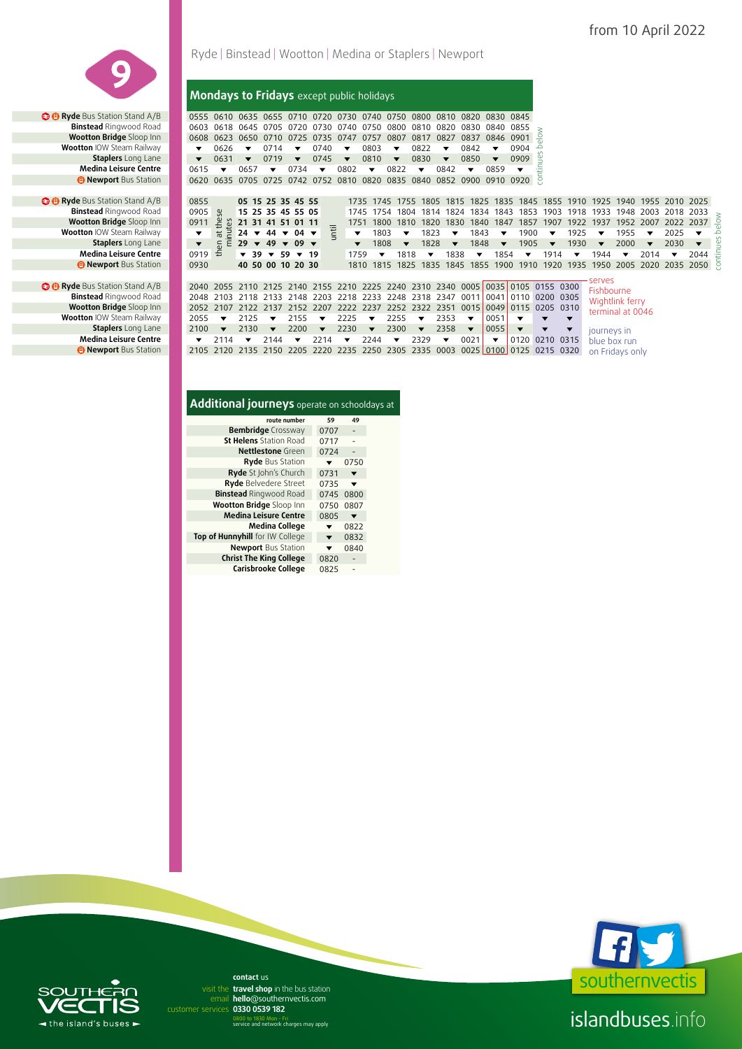

**• Byde** Bus Station Stand A/B **Binstead** Ringwood Road **Wootton Bridge** Sloop Inn **Wootton IOW Steam Railway Staplers** Long Lane **Medina Leisure Centre B Newport** Bus Station

 **Ryde** Bus Station Stand A/B 2040 2055 2110 2125 2140 2155 2210 2225 2240 2310 2340 0005 0035 0105 0155 0300

# Ryde | Binstead | Wootton | Medina or Staplers | Newport

#### **Mondays to Fridays** except public holidays

 **C B Ryde** Bus Station Stand A/B 0555 0610 0635 0655 0710 0720 0730 0740 0750 0800 0810 0820 0830 0845 **Binstead** Ringwood Road 0603 0618 0645 0705 0720 0730 0740 0750 0800 0810 0820 0830 0840 0855 **Winstead** Ringwood Road | 0603 0618 0645 0705 0720 0730 0740 0750 0800 0810 0820 0830 0840 0855 ≥<br>■ Wootton Bridge Sloop Inn | 0608 0623 0650 0710 0725 0735 0737 0727 0807 0817 0827 0837 0846 0901 <del>-</del><br>■ Wootton IOW Steam **Wootton** IOW Steam Railway **1**  $\bullet$  0626  $\bullet$  0714  $\bullet$  0740  $\bullet$  0803  $\bullet$  0822  $\bullet$  0842  $\bullet$  0904 **Staplers** Long Lane **v o**  $\sim$  0631 **v** 0719 **v** 0745 **v** 0810 **v** 0830 **v** 0850 **v** 0909 **Medina Leisure Centre | 0615 ▼ 0657 ▼ 0734 ▼ 0802 ▼ 0822 ▼ 0842 ▼ 0859 and the computer of the computer of the computer of the computer of the computer of the computer of the computer of the computer of the computer of the computer of the computer of the computer of the computer of the compu** continues below

| 0855 05 15 25 35 45 55              |                                          |  |                                         |  |                                                |      |                          |                             |                           |                |                                                                                     | 1735 1745 1755 1805 1815 1825 1835 1845 1855 1910 1925 1940 1955 2010 2025                              |                      |                 |                         |                         |   |
|-------------------------------------|------------------------------------------|--|-----------------------------------------|--|------------------------------------------------|------|--------------------------|-----------------------------|---------------------------|----------------|-------------------------------------------------------------------------------------|---------------------------------------------------------------------------------------------------------|----------------------|-----------------|-------------------------|-------------------------|---|
| 0905                                | မ္တ                                      |  | 15 25 35 45 55 05                       |  |                                                |      |                          |                             |                           |                |                                                                                     | 1745 1754 1804 1814 1824 1834 1843 1853 1903 1918 1933 1948 2003 2018 2033                              |                      |                 |                         |                         |   |
| 0911                                |                                          |  | <b>21 31 41 51 01 11</b>                |  |                                                |      |                          |                             |                           |                |                                                                                     | 1751 1800 1810 1820 1830 1840 1847 1857 1907 1922 1937 1952 2007 2022 2037 93                           |                      |                 |                         |                         |   |
|                                     |                                          |  | $\geq$ 24 $\star$ 44 $\star$ 04 $\star$ |  | $\blacktriangledown$ 1803 $\blacktriangledown$ |      |                          |                             |                           |                |                                                                                     | 1823 $\blacktriangledown$ 1843 $\blacktriangledown$ 1900 $\blacktriangledown$ 1925 $\blacktriangledown$ |                      | 1955 $\sqrt{ }$ |                         | 2025                    |   |
|                                     | $5E$ 29 $\times$ 49 $\times$ 09 $\times$ |  |                                         |  | $\blacktriangledown$                           | 1808 | $\overline{\phantom{a}}$ | $1828$ $\blacktriangledown$ |                           | 1848 $\bullet$ |                                                                                     | $1905$ $\blacktriangledown$ 1930 $\blacktriangledown$                                                   |                      | 2000            | $\overline{\mathbf{v}}$ | 2030                    | ≌ |
| $0919 \pm \sqrt{39} = 59 \times 19$ |                                          |  |                                         |  | $1759 -$                                       |      |                          | 1818 $\bullet$              | 1838 $\blacktriangledown$ |                |                                                                                     | 1854 $\bullet$ 1914 $\bullet$ 1944 $\bullet$                                                            |                      |                 | 2014                    | $\overline{\mathbf{v}}$ | ÷ |
| 0930 40 50 00 10 20 30              |                                          |  |                                         |  |                                                |      |                          |                             |                           |                |                                                                                     | 1810 1815 1825 1835 1845 1855 1900 1910 1920 1935 1950 2005 2020 2035 2050 5                            |                      |                 |                         |                         |   |
|                                     |                                          |  |                                         |  |                                                |      |                          |                             |                           |                |                                                                                     |                                                                                                         |                      |                 |                         |                         |   |
|                                     |                                          |  |                                         |  |                                                |      |                          |                             |                           |                | 2040 2055 2110 2125 2140 2155 2210 2225 2240 2310 2340 0005 0035 0105 0155 0300     |                                                                                                         | serves<br>Fishhourne |                 |                         |                         |   |
|                                     |                                          |  |                                         |  |                                                |      |                          |                             |                           |                | sais and and a rest with the ones once once cent and the cent once can contract and |                                                                                                         |                      |                 |                         |                         |   |

**Binstead** Ringwood Road 2048 2103 2118 2133 2148 2203 2218 2233 2248 2318 2347 0011 0041 0110 0200 0305<br>**Wootton Bridge** Sloop Inn 2052 2107 2122 2137 2152 2207 2222 2237 2252 2322 2351 0015 0049 0115 0205 0310 Wightlink ferry **Wootton Bridge Sloop Inn 2052 2107 2122 2137 2152 2207 2222 2237 2252 2322 2351 0015 0049 0115 0205 0310 Wootton IOW Steam Railway 2055**  $\rightarrow$  **2125**  $\rightarrow$  **2125**  $\rightarrow$  **2225**  $\rightarrow$  **2255**  $\rightarrow$  **2353**  $\rightarrow$  **0051**  $\rightarrow$  $\rightarrow$ terminal at 0046 **Wootton** IOW Steam Railway **2055 v** 2125 v 2155 v 2225 v 2255 v 2353 v 0051  $\overline{\phantom{a}}$  $\overline{\phantom{a}}$ **Staplers** Long Lane **2100 124** 2130 **2220 2230 2230 22300 22358 2** 0055 journeys in **Medina Leisure Centre**  $\rightarrow$  **7** 2114  $\rightarrow$  2144  $\rightarrow$  2214  $\rightarrow$  2244  $\rightarrow$  2329  $\rightarrow$  0021  $\rightarrow$  0120 0210 0315 blue box run **<sup>1</sup> Newport** Bus Station 2105 2120 2135 2150 2205 2220 2235 2250 2305 2335 0003 0025 0100 0125 0215 0320 on Fridays only

### **Additional journeys** operate on schooldays at

| route number                    | 59   | 49   |  |
|---------------------------------|------|------|--|
| <b>Bembridge</b> Crossway       | 0707 |      |  |
| <b>St Helens</b> Station Road   | 0717 |      |  |
| <b>Nettlestone</b> Green        | 0724 |      |  |
| <b>Ryde Bus Station</b>         |      | 0750 |  |
| Ryde St John's Church           | 0731 |      |  |
| Ryde Belvedere Street           | 0735 |      |  |
| <b>Binstead Ringwood Road</b>   | 0745 | 0800 |  |
| Wootton Bridge Sloop Inn        | 0750 | 0807 |  |
| <b>Medina Leisure Centre</b>    | 0805 |      |  |
| Medina College                  |      | 0822 |  |
| Top of Hunnyhill for IW College | ▼    | 0832 |  |
| <b>Newport Bus Station</b>      |      | 0840 |  |
| <b>Christ The King College</b>  | 0820 |      |  |
| Carisbrooke College             | 0825 |      |  |



# $\triangleleft$  the island's buses  $\triangleright$

email hello@southernvectis.com **0330 0539 182** customer services **contact** us visit the travel shop in the bus station

0800 to 1830 Mon - Fri service and network charges may apply

islandbuses.info